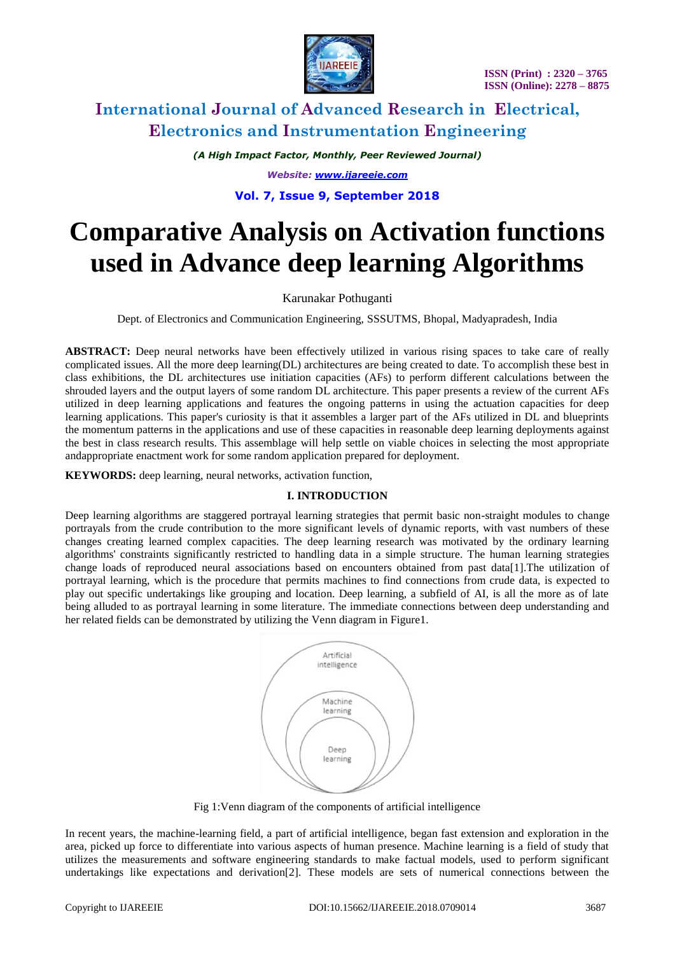

*(A High Impact Factor, Monthly, Peer Reviewed Journal) Website: [www.ijareeie.com](http://www.ijareeie.com/)*

# **Vol. 7, Issue 9, September 2018**

# **Comparative Analysis on Activation functions used in Advance deep learning Algorithms**

### Karunakar Pothuganti

Dept. of Electronics and Communication Engineering, SSSUTMS, Bhopal, Madyapradesh, India

**ABSTRACT:** Deep neural networks have been effectively utilized in various rising spaces to take care of really complicated issues. All the more deep learning(DL) architectures are being created to date. To accomplish these best in class exhibitions, the DL architectures use initiation capacities (AFs) to perform different calculations between the shrouded layers and the output layers of some random DL architecture. This paper presents a review of the current AFs utilized in deep learning applications and features the ongoing patterns in using the actuation capacities for deep learning applications. This paper's curiosity is that it assembles a larger part of the AFs utilized in DL and blueprints the momentum patterns in the applications and use of these capacities in reasonable deep learning deployments against the best in class research results. This assemblage will help settle on viable choices in selecting the most appropriate andappropriate enactment work for some random application prepared for deployment.

**KEYWORDS:** deep learning, neural networks, activation function,

### **I. INTRODUCTION**

Deep learning algorithms are staggered portrayal learning strategies that permit basic non-straight modules to change portrayals from the crude contribution to the more significant levels of dynamic reports, with vast numbers of these changes creating learned complex capacities. The deep learning research was motivated by the ordinary learning algorithms' constraints significantly restricted to handling data in a simple structure. The human learning strategies change loads of reproduced neural associations based on encounters obtained from past data[1].The utilization of portrayal learning, which is the procedure that permits machines to find connections from crude data, is expected to play out specific undertakings like grouping and location. Deep learning, a subfield of AI, is all the more as of late being alluded to as portrayal learning in some literature. The immediate connections between deep understanding and her related fields can be demonstrated by utilizing the Venn diagram in Figure1.



Fig 1:Venn diagram of the components of artificial intelligence

In recent years, the machine-learning field, a part of artificial intelligence, began fast extension and exploration in the area, picked up force to differentiate into various aspects of human presence. Machine learning is a field of study that utilizes the measurements and software engineering standards to make factual models, used to perform significant undertakings like expectations and derivation[2]. These models are sets of numerical connections between the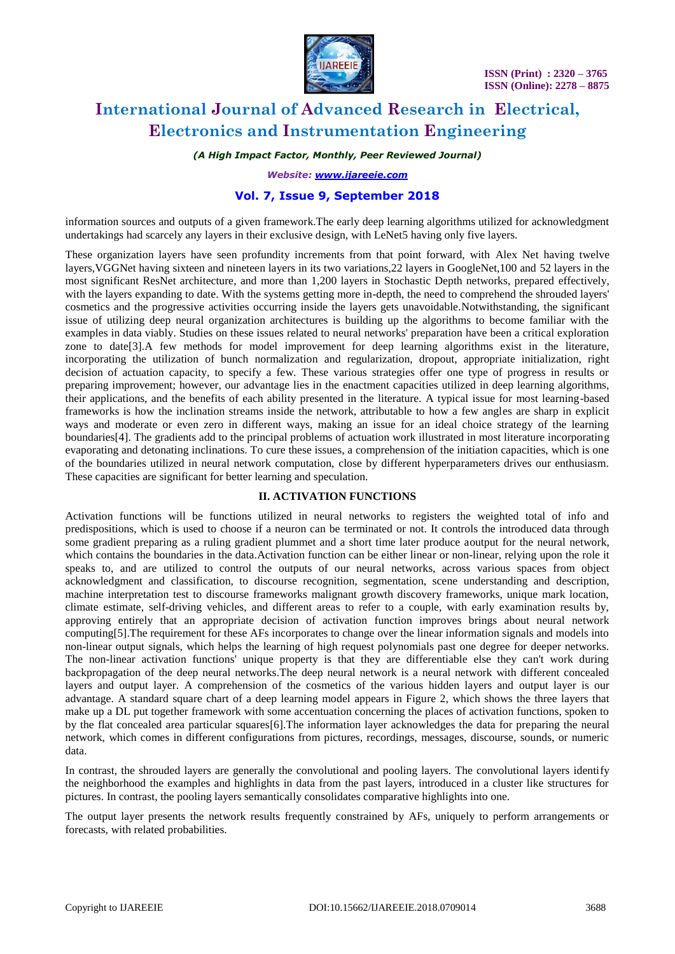

*(A High Impact Factor, Monthly, Peer Reviewed Journal)*

*Website: [www.ijareeie.com](http://www.ijareeie.com/)*

### **Vol. 7, Issue 9, September 2018**

information sources and outputs of a given framework.The early deep learning algorithms utilized for acknowledgment undertakings had scarcely any layers in their exclusive design, with LeNet5 having only five layers.

These organization layers have seen profundity increments from that point forward, with Alex Net having twelve layers,VGGNet having sixteen and nineteen layers in its two variations,22 layers in GoogleNet,100 and 52 layers in the most significant ResNet architecture, and more than 1,200 layers in Stochastic Depth networks, prepared effectively, with the layers expanding to date. With the systems getting more in-depth, the need to comprehend the shrouded layers' cosmetics and the progressive activities occurring inside the layers gets unavoidable.Notwithstanding, the significant issue of utilizing deep neural organization architectures is building up the algorithms to become familiar with the examples in data viably. Studies on these issues related to neural networks' preparation have been a critical exploration zone to date[3].A few methods for model improvement for deep learning algorithms exist in the literature, incorporating the utilization of bunch normalization and regularization, dropout, appropriate initialization, right decision of actuation capacity, to specify a few. These various strategies offer one type of progress in results or preparing improvement; however, our advantage lies in the enactment capacities utilized in deep learning algorithms, their applications, and the benefits of each ability presented in the literature. A typical issue for most learning-based frameworks is how the inclination streams inside the network, attributable to how a few angles are sharp in explicit ways and moderate or even zero in different ways, making an issue for an ideal choice strategy of the learning boundaries[4]. The gradients add to the principal problems of actuation work illustrated in most literature incorporating evaporating and detonating inclinations. To cure these issues, a comprehension of the initiation capacities, which is one of the boundaries utilized in neural network computation, close by different hyperparameters drives our enthusiasm. These capacities are significant for better learning and speculation.

### **II. ACTIVATION FUNCTIONS**

Activation functions will be functions utilized in neural networks to registers the weighted total of info and predispositions, which is used to choose if a neuron can be terminated or not. It controls the introduced data through some gradient preparing as a ruling gradient plummet and a short time later produce aoutput for the neural network, which contains the boundaries in the data. Activation function can be either linear or non-linear, relying upon the role it speaks to, and are utilized to control the outputs of our neural networks, across various spaces from object acknowledgment and classification, to discourse recognition, segmentation, scene understanding and description, machine interpretation test to discourse frameworks malignant growth discovery frameworks, unique mark location, climate estimate, self-driving vehicles, and different areas to refer to a couple, with early examination results by, approving entirely that an appropriate decision of activation function improves brings about neural network computing[5].The requirement for these AFs incorporates to change over the linear information signals and models into non-linear output signals, which helps the learning of high request polynomials past one degree for deeper networks. The non-linear activation functions' unique property is that they are differentiable else they can't work during backpropagation of the deep neural networks.The deep neural network is a neural network with different concealed layers and output layer. A comprehension of the cosmetics of the various hidden layers and output layer is our advantage. A standard square chart of a deep learning model appears in Figure 2, which shows the three layers that make up a DL put together framework with some accentuation concerning the places of activation functions, spoken to by the flat concealed area particular squares[6].The information layer acknowledges the data for preparing the neural network, which comes in different configurations from pictures, recordings, messages, discourse, sounds, or numeric data.

In contrast, the shrouded layers are generally the convolutional and pooling layers. The convolutional layers identify the neighborhood the examples and highlights in data from the past layers, introduced in a cluster like structures for pictures. In contrast, the pooling layers semantically consolidates comparative highlights into one.

The output layer presents the network results frequently constrained by AFs, uniquely to perform arrangements or forecasts, with related probabilities.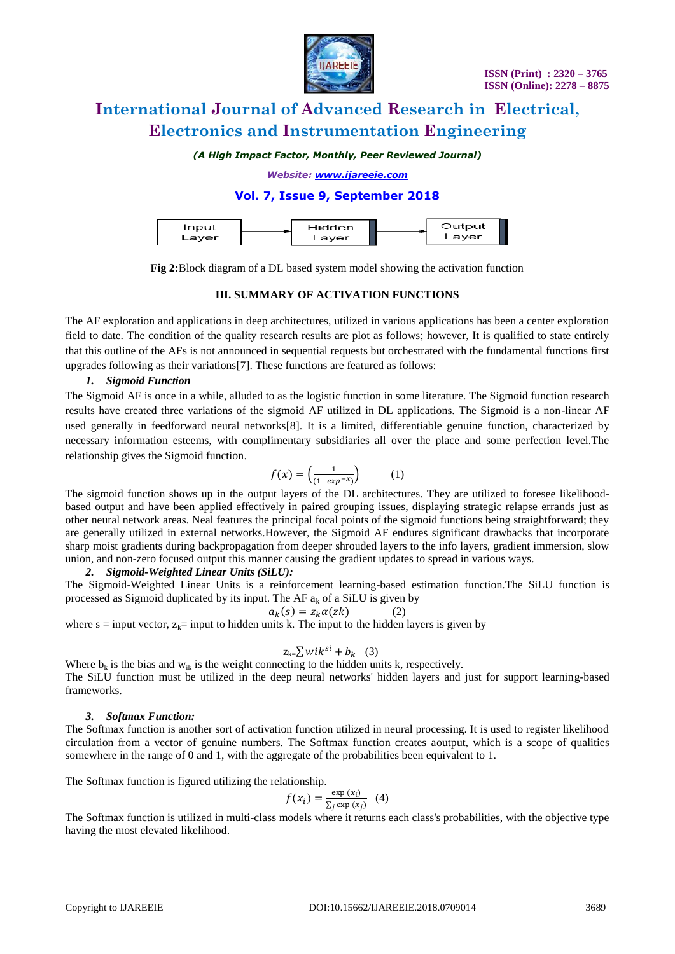

*(A High Impact Factor, Monthly, Peer Reviewed Journal)*

*Website: [www.ijareeie.com](http://www.ijareeie.com/)*

## **Vol. 7, Issue 9, September 2018**

| Hidden<br>Input<br>Layer<br>Laver |  | Output<br>Laver |
|-----------------------------------|--|-----------------|
|-----------------------------------|--|-----------------|

**Fig 2:**Block diagram of a DL based system model showing the activation function

#### **III. SUMMARY OF ACTIVATION FUNCTIONS**

The AF exploration and applications in deep architectures, utilized in various applications has been a center exploration field to date. The condition of the quality research results are plot as follows; however, It is qualified to state entirely that this outline of the AFs is not announced in sequential requests but orchestrated with the fundamental functions first upgrades following as their variations[7]. These functions are featured as follows:

### *1. Sigmoid Function*

The Sigmoid AF is once in a while, alluded to as the logistic function in some literature. The Sigmoid function research results have created three variations of the sigmoid AF utilized in DL applications. The Sigmoid is a non-linear AF used generally in feedforward neural networks[8]. It is a limited, differentiable genuine function, characterized by necessary information esteems, with complimentary subsidiaries all over the place and some perfection level.The relationship gives the Sigmoid function.

$$
f(x) = \left(\frac{1}{(1 + exp^{-x})}\right) \tag{1}
$$

The sigmoid function shows up in the output layers of the DL architectures. They are utilized to foresee likelihoodbased output and have been applied effectively in paired grouping issues, displaying strategic relapse errands just as other neural network areas. Neal features the principal focal points of the sigmoid functions being straightforward; they are generally utilized in external networks.However, the Sigmoid AF endures significant drawbacks that incorporate sharp moist gradients during backpropagation from deeper shrouded layers to the info layers, gradient immersion, slow union, and non-zero focused output this manner causing the gradient updates to spread in various ways.

#### *2. Sigmoid-Weighted Linear Units (SiLU):*

The Sigmoid-Weighted Linear Units is a reinforcement learning-based estimation function.The SiLU function is processed as Sigmoid duplicated by its input. The AF  $a_k$  of a SiLU is given by

$$
a_k(s) = z_k \alpha(zk) \tag{2}
$$

where  $s = input vector$ ,  $z_k = input to hidden units k$ . The input to the hidden layers is given by

$$
z_{k} = \sum wik^{si} + b_k \quad (3)
$$

Where  $b_k$  is the bias and  $w_{ik}$  is the weight connecting to the hidden units k, respectively. The SiLU function must be utilized in the deep neural networks' hidden layers and just for support learning-based frameworks.

#### *3. Softmax Function:*

The Softmax function is another sort of activation function utilized in neural processing. It is used to register likelihood circulation from a vector of genuine numbers. The Softmax function creates aoutput, which is a scope of qualities somewhere in the range of 0 and 1, with the aggregate of the probabilities been equivalent to 1.

The Softmax function is figured utilizing the relationship.

$$
f(x_i) = \frac{\exp(x_i)}{\sum_j \exp(x_j)} \quad (4)
$$

The Softmax function is utilized in multi-class models where it returns each class's probabilities, with the objective type having the most elevated likelihood.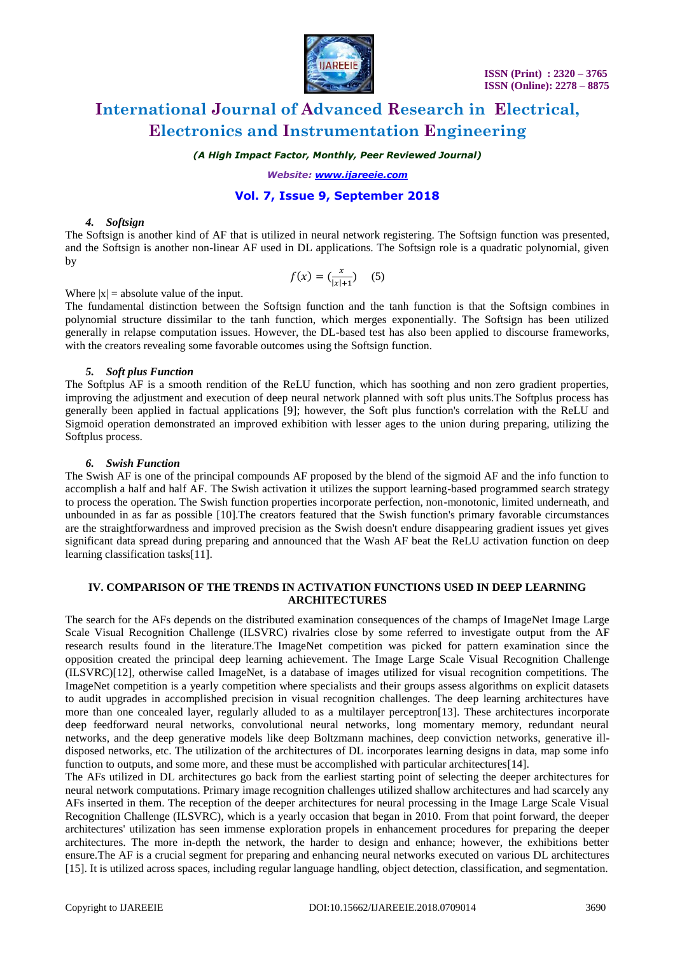

*(A High Impact Factor, Monthly, Peer Reviewed Journal)*

*Website: [www.ijareeie.com](http://www.ijareeie.com/)*

## **Vol. 7, Issue 9, September 2018**

#### *4. Softsign*

The Softsign is another kind of AF that is utilized in neural network registering. The Softsign function was presented, and the Softsign is another non-linear AF used in DL applications. The Softsign role is a quadratic polynomial, given by

$$
f(x) = \left(\frac{x}{|x|+1}\right) \quad (5)
$$

Where  $|x|$  = absolute value of the input.

The fundamental distinction between the Softsign function and the tanh function is that the Softsign combines in polynomial structure dissimilar to the tanh function, which merges exponentially. The Softsign has been utilized generally in relapse computation issues. However, the DL-based test has also been applied to discourse frameworks, with the creators revealing some favorable outcomes using the Softsign function.

#### *5. Soft plus Function*

The Softplus AF is a smooth rendition of the ReLU function, which has soothing and non zero gradient properties, improving the adjustment and execution of deep neural network planned with soft plus units.The Softplus process has generally been applied in factual applications [9]; however, the Soft plus function's correlation with the ReLU and Sigmoid operation demonstrated an improved exhibition with lesser ages to the union during preparing, utilizing the Softplus process.

#### *6. Swish Function*

The Swish AF is one of the principal compounds AF proposed by the blend of the sigmoid AF and the info function to accomplish a half and half AF. The Swish activation it utilizes the support learning-based programmed search strategy to process the operation. The Swish function properties incorporate perfection, non-monotonic, limited underneath, and unbounded in as far as possible [10].The creators featured that the Swish function's primary favorable circumstances are the straightforwardness and improved precision as the Swish doesn't endure disappearing gradient issues yet gives significant data spread during preparing and announced that the Wash AF beat the ReLU activation function on deep learning classification tasks[11].

#### **IV. COMPARISON OF THE TRENDS IN ACTIVATION FUNCTIONS USED IN DEEP LEARNING ARCHITECTURES**

The search for the AFs depends on the distributed examination consequences of the champs of ImageNet Image Large Scale Visual Recognition Challenge (ILSVRC) rivalries close by some referred to investigate output from the AF research results found in the literature.The ImageNet competition was picked for pattern examination since the opposition created the principal deep learning achievement. The Image Large Scale Visual Recognition Challenge (ILSVRC)[12], otherwise called ImageNet, is a database of images utilized for visual recognition competitions. The ImageNet competition is a yearly competition where specialists and their groups assess algorithms on explicit datasets to audit upgrades in accomplished precision in visual recognition challenges. The deep learning architectures have more than one concealed layer, regularly alluded to as a multilayer perceptron[13]. These architectures incorporate deep feedforward neural networks, convolutional neural networks, long momentary memory, redundant neural networks, and the deep generative models like deep Boltzmann machines, deep conviction networks, generative illdisposed networks, etc. The utilization of the architectures of DL incorporates learning designs in data, map some info function to outputs, and some more, and these must be accomplished with particular architectures[14].

The AFs utilized in DL architectures go back from the earliest starting point of selecting the deeper architectures for neural network computations. Primary image recognition challenges utilized shallow architectures and had scarcely any AFs inserted in them. The reception of the deeper architectures for neural processing in the Image Large Scale Visual Recognition Challenge (ILSVRC), which is a yearly occasion that began in 2010. From that point forward, the deeper architectures' utilization has seen immense exploration propels in enhancement procedures for preparing the deeper architectures. The more in-depth the network, the harder to design and enhance; however, the exhibitions better ensure.The AF is a crucial segment for preparing and enhancing neural networks executed on various DL architectures [15]. It is utilized across spaces, including regular language handling, object detection, classification, and segmentation.